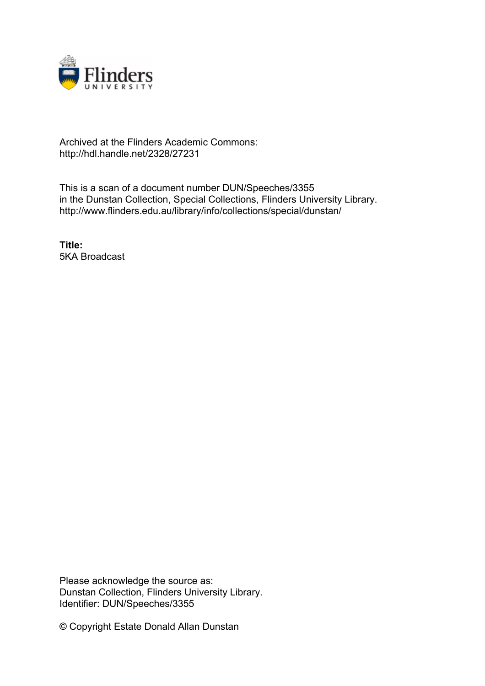

## Archived at the Flinders Academic Commons: http://hdl.handle.net/2328/27231

This is a scan of a document number DUN/Speeches/3355 in the Dunstan Collection, Special Collections, Flinders University Library. http://www.flinders.edu.au/library/info/collections/special/dunstan/

**Title:** 5KA Broadcast

Please acknowledge the source as: Dunstan Collection, Flinders University Library. Identifier: DUN/Speeches/3355

© Copyright Estate Donald Allan Dunstan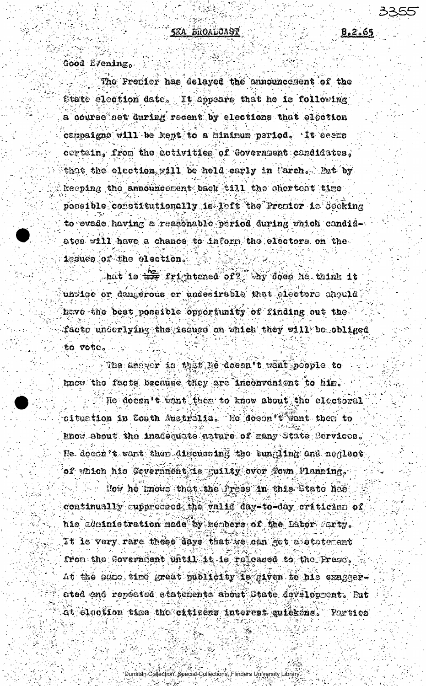Good Evening.

The Prenier has delayed the announcement of the State election date. It appears that he is following a course get during recent by elections that election campaigns will be kept to a mininum period. It seems certain. from the activities of Government candidates. that the election will be held early in Farch. But by keeping the announcement back till the chertest time pessible constitutionally is laft the Premier is Seeking to evade having a reasonable period during which candidates will have a chance to inform the electors on the issues of the election.

hat is the frightened of? My does he think it uniigo or dangerous or undesirable that electors chould. have the best possible opportunity of finding out the facto underlying the issues on which they will be obliged to vota.

The drewer is that he doesn't want poople to know the facts because they are inconvenient to him.

He docen't want then to know about the electoral oituation in South Australia. He doeen't want then to Enow about the inadequate nature of many State Services. He doech't want then discussing the bungling and neglect of which his Covernment is guilty over fown Planning.

How he knows that the Press in this State has continually auppreceed the valid day=to-day critician of hic administration made by members of the Labor Furty. It is very rare these days that we can get a statement from the Government until it is released to the Presc. At the same time great publicity is given to his exaggerated and repeated statements about State development. But Gt election time the citizens interest quickens. Portics

Dunstän Collection, Special Collections, Flinders University Library.

 $8.2.65$